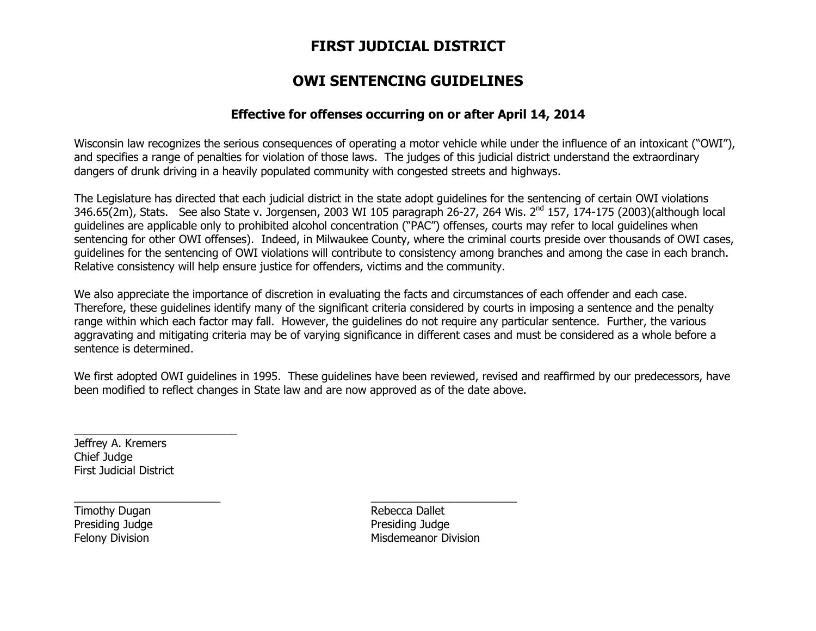# FIRST JUDICIAL DISTRICT

## OWI SENTENCING GUIDELINES

### Effective for offenses occurring on or after April 14, 2014

Wisconsin law recognizes the serious consequences of operating a motor vehicle while under the influence of an intoxicant ("OWI"), and specifies a range of penalties for violation of those laws. The judges of this judicial district understand the extraordinary dangers of drunk driving in a heavily populated community with congested streets and highways.

The Legislature has directed that each judicial district in the state adopt guidelines for the sentencing of certain OWI violations 346.65(2m), Stats. See also State v. Jorgensen, 2003 WI 105 paragraph 26-27, 264 Wis. 2<sup>nd</sup> 157, 174-175 (2003)(although local guidelines are applicable only to prohibited alcohol concentration ("PAC") offenses, courts may refer to local guidelines when sentencing for other OWI offenses). Indeed, in Milwaukee County, where the criminal courts preside over thousands of OWI cases, guidelines for the sentencing of OWI violations will contribute to consistency among branches and among the case in each branch. Relative consistency will help ensure justice for offenders, victims and the community.

We also appreciate the importance of discretion in evaluating the facts and circumstances of each offender and each case. Therefore, these guidelines identify many of the significant criteria considered by courts in imposing a sentence and the penalty range within which each factor may fall. However, the guidelines do not require any particular sentence. Further, the various aggravating and mitigating criteria may be of varying significance in different cases and must be considered as a whole before a sentence is determined.

We first adopted OWI guidelines in 1995. These guidelines have been reviewed, revised and reaffirmed by our predecessors, have been modified to reflect changes in State law and are now approved as of the date above.

\_\_\_\_\_\_\_\_\_\_\_\_\_\_\_\_\_\_\_\_\_\_\_\_\_\_ \_\_\_\_\_\_\_\_\_\_\_\_\_\_\_\_\_\_\_\_\_\_\_\_\_\_

Jeffrey A. Kremers Chief Judge First Judicial District

 $\overline{\phantom{a}}$  , and the contract of the contract of the contract of the contract of the contract of the contract of the contract of the contract of the contract of the contract of the contract of the contract of the contrac

Timothy Dugan **Rebecca** Dallet Presiding Judge

Presiding Judge Felony Division **Mission** Misdemeanor Division